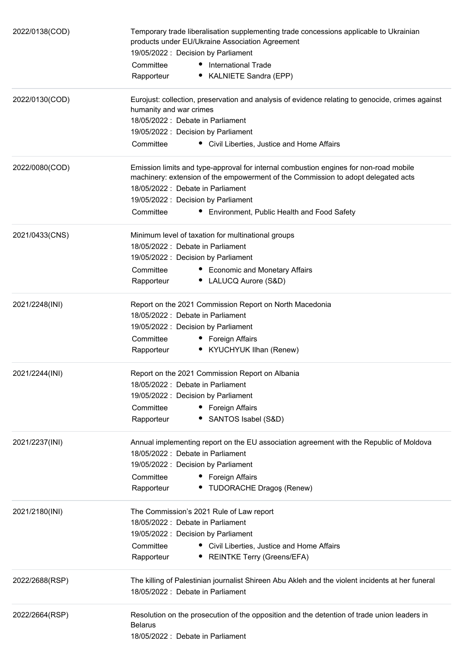| 2022/0138(COD) | Temporary trade liberalisation supplementing trade concessions applicable to Ukrainian<br>products under EU/Ukraine Association Agreement<br>19/05/2022 : Decision by Parliament |
|----------------|----------------------------------------------------------------------------------------------------------------------------------------------------------------------------------|
|                | Committee<br>• International Trade                                                                                                                                               |
|                | • KALNIETE Sandra (EPP)<br>Rapporteur                                                                                                                                            |
| 2022/0130(COD) | Eurojust: collection, preservation and analysis of evidence relating to genocide, crimes against                                                                                 |
|                | humanity and war crimes                                                                                                                                                          |
|                | 18/05/2022 : Debate in Parliament                                                                                                                                                |
|                | 19/05/2022: Decision by Parliament<br>Committee<br>• Civil Liberties, Justice and Home Affairs                                                                                   |
|                |                                                                                                                                                                                  |
| 2022/0080(COD) | Emission limits and type-approval for internal combustion engines for non-road mobile<br>machinery: extension of the empowerment of the Commission to adopt delegated acts       |
|                | 18/05/2022 : Debate in Parliament                                                                                                                                                |
|                | 19/05/2022 : Decision by Parliament                                                                                                                                              |
|                | Committee<br>Environment, Public Health and Food Safety                                                                                                                          |
| 2021/0433(CNS) | Minimum level of taxation for multinational groups                                                                                                                               |
|                | 18/05/2022 : Debate in Parliament                                                                                                                                                |
|                | 19/05/2022: Decision by Parliament                                                                                                                                               |
|                | Committee<br>• Economic and Monetary Affairs                                                                                                                                     |
|                | • LALUCQ Aurore (S&D)<br>Rapporteur                                                                                                                                              |
| 2021/2248(INI) | Report on the 2021 Commission Report on North Macedonia                                                                                                                          |
|                | 18/05/2022 : Debate in Parliament                                                                                                                                                |
|                | 19/05/2022 : Decision by Parliament                                                                                                                                              |
|                | Committee<br>• Foreign Affairs                                                                                                                                                   |
|                | • KYUCHYUK Ilhan (Renew)<br>Rapporteur                                                                                                                                           |
| 2021/2244(INI) | Report on the 2021 Commission Report on Albania                                                                                                                                  |
|                | 18/05/2022 : Debate in Parliament                                                                                                                                                |
|                | 19/05/2022 : Decision by Parliament                                                                                                                                              |
|                | Committee<br>• Foreign Affairs                                                                                                                                                   |
|                | SANTOS Isabel (S&D)<br>Rapporteur                                                                                                                                                |
| 2021/2237(INI) | Annual implementing report on the EU association agreement with the Republic of Moldova                                                                                          |
|                | 18/05/2022 : Debate in Parliament                                                                                                                                                |
|                | 19/05/2022 : Decision by Parliament                                                                                                                                              |
|                | Committee<br>Foreign Affairs<br>٠                                                                                                                                                |
|                | • TUDORACHE Dragos (Renew)<br>Rapporteur                                                                                                                                         |
| 2021/2180(INI) | The Commission's 2021 Rule of Law report                                                                                                                                         |
|                | 18/05/2022 : Debate in Parliament                                                                                                                                                |
|                | 19/05/2022: Decision by Parliament                                                                                                                                               |
|                | Committee<br>• Civil Liberties, Justice and Home Affairs                                                                                                                         |
|                | <b>REINTKE Terry (Greens/EFA)</b><br>Rapporteur                                                                                                                                  |
| 2022/2688(RSP) | The killing of Palestinian journalist Shireen Abu Akleh and the violent incidents at her funeral                                                                                 |
|                | 18/05/2022 : Debate in Parliament                                                                                                                                                |
| 2022/2664(RSP) | Resolution on the prosecution of the opposition and the detention of trade union leaders in                                                                                      |
|                | <b>Belarus</b>                                                                                                                                                                   |
|                | 18/05/2022 : Debate in Parliament                                                                                                                                                |